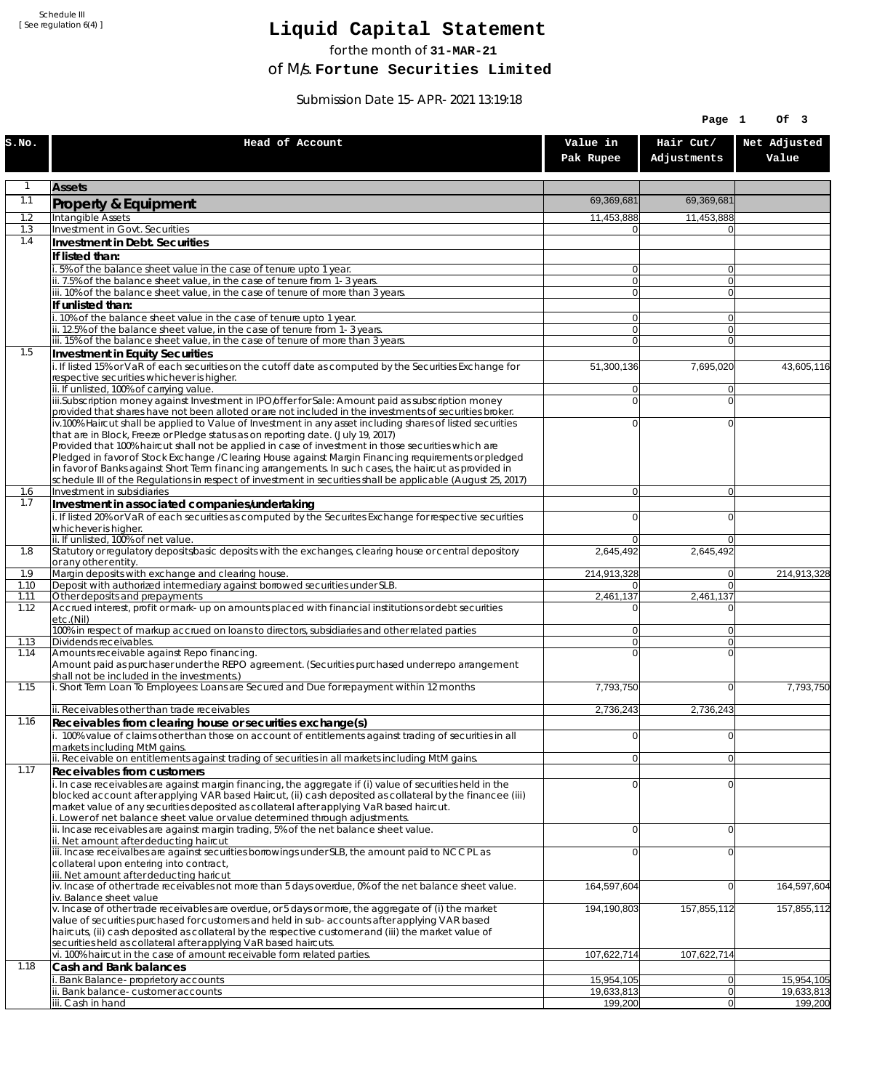Schedule III [ See regulation 6(4) ]

## **Liquid Capital Statement**

for the month of **31-MAR-21**

of M/s. **Fortune Securities Limited**

Submission Date 15-APR-2021 13:19:18

|              |                                                                                                                                                                                                                |                             | Page 1                           | Of 3                  |
|--------------|----------------------------------------------------------------------------------------------------------------------------------------------------------------------------------------------------------------|-----------------------------|----------------------------------|-----------------------|
| S.NO.        | Head of Account                                                                                                                                                                                                | Value in<br>Pak Rupee       | Hair Cut/<br>Adjustments         | Net Adjusted<br>Value |
| 1            | <b>Assets</b>                                                                                                                                                                                                  |                             |                                  |                       |
| 1.1          | Property & Equipment                                                                                                                                                                                           | 69,369,681                  | 69,369,681                       |                       |
| 1.2          | Intangible Assets                                                                                                                                                                                              | 11,453,888                  | 11,453,888                       |                       |
| 1.3<br>1.4   | Investment in Govt. Securities<br>Investment in Debt. Securities                                                                                                                                               | $\Omega$                    | $\Omega$                         |                       |
|              | If listed than:                                                                                                                                                                                                |                             |                                  |                       |
|              | i. 5% of the balance sheet value in the case of tenure upto 1 year.                                                                                                                                            | $\overline{0}$              | $\overline{0}$                   |                       |
|              | ii. 7.5% of the balance sheet value, in the case of tenure from 1-3 years.<br>iii. 10% of the balance sheet value, in the case of tenure of more than 3 years.                                                 | 0 <br>$\overline{0}$        | $\overline{0}$<br>$\overline{0}$ |                       |
|              | If unlisted than:                                                                                                                                                                                              |                             |                                  |                       |
|              | i. 10% of the balance sheet value in the case of tenure upto 1 year.                                                                                                                                           | $\overline{0}$              | $\Omega$                         |                       |
|              | ii. 12.5% of the balance sheet value, in the case of tenure from 1-3 years.<br>iii. 15% of the balance sheet value, in the case of tenure of more than 3 years.                                                | 0 <br>$\overline{0}$        | $\overline{0}$<br>$\overline{0}$ |                       |
| 1.5          | Investment in Equity Securities                                                                                                                                                                                |                             |                                  |                       |
|              | i. If listed 15% or VaR of each securities on the cutoff date as computed by the Securities Exchange for                                                                                                       | 51,300,136                  | 7,695,020                        | 43,605,116            |
|              | respective securities whichever is higher.<br>ii. If unlisted, 100% of carrying value.                                                                                                                         | $\overline{0}$              | $\Omega$                         |                       |
|              | iii.Subscription money against Investment in IPO/offer for Sale: Amount paid as subscription money                                                                                                             | $\overline{0}$              | $\Omega$                         |                       |
|              | provided that shares have not been alloted or are not included in the investments of securities broker.                                                                                                        |                             |                                  |                       |
|              | iv.100% Haircut shall be applied to Value of Investment in any asset including shares of listed securities<br>that are in Block, Freeze or Pledge status as on reporting date. (July 19, 2017)                 | $\overline{0}$              | $\mathbf{0}$                     |                       |
|              | Provided that 100% haircut shall not be applied in case of investment in those securities which are                                                                                                            |                             |                                  |                       |
|              | Pledged in favor of Stock Exchange / Clearing House against Margin Financing requirements or pledged<br>in favor of Banks against Short Term financing arrangements. In such cases, the haircut as provided in |                             |                                  |                       |
|              | schedule III of the Regulations in respect of investment in securities shall be applicable (August 25, 2017)                                                                                                   |                             |                                  |                       |
| 1.6<br>1.7   | Investment in subsidiaries                                                                                                                                                                                     | $\overline{0}$              | $\overline{0}$                   |                       |
|              | Investment in associated companies/undertaking<br>i. If listed 20% or VaR of each securities as computed by the Securites Exchange for respective securities                                                   | $\overline{0}$              | $\mathbf{0}$                     |                       |
|              | whichever is higher.                                                                                                                                                                                           |                             |                                  |                       |
| 1.8          | ii. If unlisted, 100% of net value.<br>Statutory or regulatory deposits/basic deposits with the exchanges, clearing house or central depository                                                                | $\overline{0}$<br>2,645,492 | $\Omega$<br>2,645,492            |                       |
|              | or any other entity.                                                                                                                                                                                           |                             |                                  |                       |
| 1.9          | Margin deposits with exchange and clearing house.                                                                                                                                                              | 214,913,328                 | 0                                | 214,913,328           |
| 1.10<br>1.11 | Deposit with authorized intermediary against borrowed securities under SLB.<br>Other deposits and prepayments                                                                                                  | 01<br>2,461,137             | $\Omega$<br>2,461,137            |                       |
| 1.12         | Accrued interest, profit or mark-up on amounts placed with financial institutions or debt securities<br>etc.(Nil)                                                                                              | $\Omega$                    | $\Omega$                         |                       |
|              | 100% in respect of markup accrued on loans to directors, subsidiaries and other related parties                                                                                                                | $\overline{0}$              | $\Omega$                         |                       |
| 1.13         | Dividends receivables.<br>Amounts receivable against Repo financing.                                                                                                                                           | $\overline{0}$<br>$\Omega$  | $\Omega$<br>$\mathbf{0}$         |                       |
| 1.14         | Amount paid as purchaser under the REPO agreement. (Securities purchased under repo arrangement                                                                                                                |                             |                                  |                       |
|              | shall not be included in the investments.)                                                                                                                                                                     |                             |                                  |                       |
| 1.15         | i. Short Term Loan To Employees: Loans are Secured and Due for repayment within 12 months                                                                                                                      | 7,793,750                   | $\Omega$                         | 7,793,750             |
|              | ii. Receivables other than trade receivables                                                                                                                                                                   | 2,736,243                   | 2,736,243                        |                       |
| 1.16         | Receivables from clearing house or securities exchange(s)<br>i. 100% value of claims other than those on account of entitlements against trading of securities in all                                          | $\overline{0}$              | $\overline{0}$                   |                       |
|              | markets including MtM gains.                                                                                                                                                                                   |                             |                                  |                       |
| 1.17         | ii. Receivable on entitlements against trading of securities in all markets including MtM gains.                                                                                                               | $\overline{0}$              | 0                                |                       |
|              | Receivables from customers<br>i. In case receivables are against margin financing, the aggregate if (i) value of securities held in the                                                                        | $\overline{0}$              | $\Omega$                         |                       |
|              | blocked account after applying VAR based Haircut, (ii) cash deposited as collateral by the financee (iii)                                                                                                      |                             |                                  |                       |
|              | market value of any securities deposited as collateral after applying VaR based haircut.<br>i. Lower of net balance sheet value or value determined through adjustments.                                       |                             |                                  |                       |
|              | ii. Incase receivables are against margin trading, 5% of the net balance sheet value.                                                                                                                          | $\overline{0}$              | $\Omega$                         |                       |
|              | ii. Net amount after deducting haircut                                                                                                                                                                         |                             |                                  |                       |
|              | iii. Incase receivalbes are against securities borrowings under SLB, the amount paid to NCCPL as<br>collateral upon entering into contract,                                                                    | $\overline{0}$              | $\mathbf{0}$                     |                       |
|              | iii. Net amount after deducting haricut                                                                                                                                                                        |                             |                                  |                       |
|              | iv. Incase of other trade receivables not more than 5 days overdue, 0% of the net balance sheet value.<br>iv. Balance sheet value                                                                              | 164,597,604                 | 0                                | 164,597,604           |
|              | v. Incase of other trade receivables are overdue, or 5 days or more, the aggregate of (i) the market                                                                                                           | 194,190,803                 | 157,855,112                      | 157,855,112           |
|              | value of securities purchased for customers and held in sub-accounts after applying VAR based<br>haircuts, (ii) cash deposited as collateral by the respective customer and (iii) the market value of          |                             |                                  |                       |
|              | securities held as collateral after applying VaR based haircuts.                                                                                                                                               |                             |                                  |                       |
|              | vi. 100% haircut in the case of amount receivable form related parties.                                                                                                                                        | 107,622,714                 | 107,622,714                      |                       |
| 1.18         | Cash and Bank balances<br>i. Bank Balance-proprietory accounts                                                                                                                                                 | 15,954,105                  | 0                                | 15,954,105            |
|              | ii. Bank balance-customer accounts                                                                                                                                                                             | 19,633,813                  | 0                                | 19,633,813            |
|              | iii. Cash in hand                                                                                                                                                                                              | 199,200                     | 0                                | 199,200               |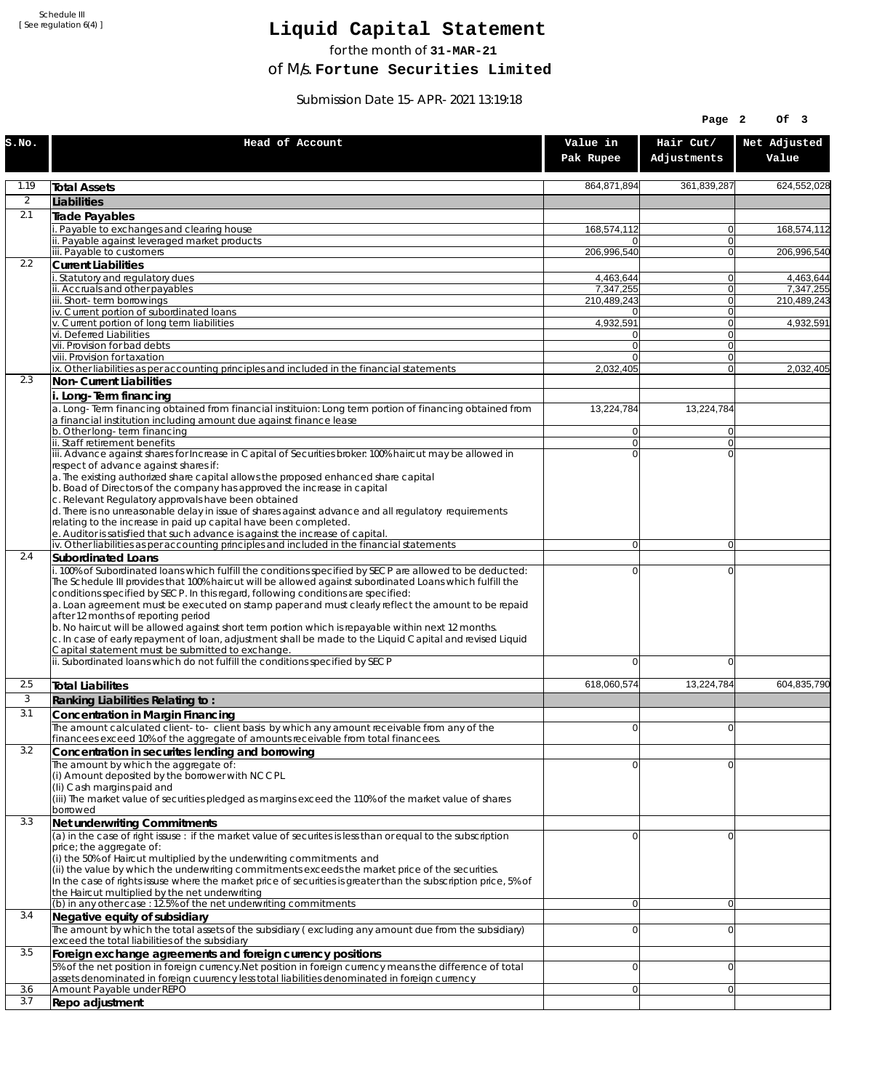Schedule III [ See regulation 6(4) ]

## **Liquid Capital Statement**

for the month of **31-MAR-21**

of M/s. **Fortune Securities Limited**

Submission Date 15-APR-2021 13:19:18

|                |                                                                                                                                                                                                                                                                                                                                                                                                                                                                                                                                                                                                                                                                                                                              |                         | Page 2                        | Of 3                   |
|----------------|------------------------------------------------------------------------------------------------------------------------------------------------------------------------------------------------------------------------------------------------------------------------------------------------------------------------------------------------------------------------------------------------------------------------------------------------------------------------------------------------------------------------------------------------------------------------------------------------------------------------------------------------------------------------------------------------------------------------------|-------------------------|-------------------------------|------------------------|
| S.NO.          | Head of Account                                                                                                                                                                                                                                                                                                                                                                                                                                                                                                                                                                                                                                                                                                              | Value in<br>Pak Rupee   | Hair Cut/<br>Adjustments      | Net Adjusted<br>Value  |
| 1.19           | <b>Total Assets</b>                                                                                                                                                                                                                                                                                                                                                                                                                                                                                                                                                                                                                                                                                                          | 864,871,894             | 361,839,287                   | 624,552,028            |
| $\overline{2}$ | Liabilities                                                                                                                                                                                                                                                                                                                                                                                                                                                                                                                                                                                                                                                                                                                  |                         |                               |                        |
| 2.1            | Trade Payables                                                                                                                                                                                                                                                                                                                                                                                                                                                                                                                                                                                                                                                                                                               |                         |                               |                        |
|                | i. Payable to exchanges and clearing house<br>ii. Payable against leveraged market products                                                                                                                                                                                                                                                                                                                                                                                                                                                                                                                                                                                                                                  | 168,574,112<br>$\Omega$ | 0<br>0                        | 168,574,112            |
|                | iii. Payable to customers                                                                                                                                                                                                                                                                                                                                                                                                                                                                                                                                                                                                                                                                                                    | 206,996,540             | $\mathbf{0}$                  | 206,996,540            |
| 2.2            | <b>Current Liabilities</b>                                                                                                                                                                                                                                                                                                                                                                                                                                                                                                                                                                                                                                                                                                   |                         |                               |                        |
|                | . Statutory and regulatory dues<br>ii. Accruals and other payables                                                                                                                                                                                                                                                                                                                                                                                                                                                                                                                                                                                                                                                           | 4,463,644<br>7,347,255  | 0<br>0                        | 4,463,644<br>7.347.255 |
|                | iii. Short-term borrowings                                                                                                                                                                                                                                                                                                                                                                                                                                                                                                                                                                                                                                                                                                   | 210,489,243             | 0                             | 210,489,243            |
|                | iv. Current portion of subordinated loans                                                                                                                                                                                                                                                                                                                                                                                                                                                                                                                                                                                                                                                                                    | 0                       | 0                             |                        |
|                | v. Current portion of long term liabilities<br>vi. Deferred Liabilities                                                                                                                                                                                                                                                                                                                                                                                                                                                                                                                                                                                                                                                      | 4,932,591<br>0          | $\mathbf{0}$<br>0             | 4,932,591              |
|                | vii. Provision for bad debts                                                                                                                                                                                                                                                                                                                                                                                                                                                                                                                                                                                                                                                                                                 | $\mathbf 0$             | 0                             |                        |
|                | viii. Provision for taxation<br>ix. Other liabilities as per accounting principles and included in the financial statements                                                                                                                                                                                                                                                                                                                                                                                                                                                                                                                                                                                                  | $\Omega$<br>2,032,405   | $\mathbf{0}$<br>0             | 2,032,405              |
| 2.3            | Non-Current Liabilities                                                                                                                                                                                                                                                                                                                                                                                                                                                                                                                                                                                                                                                                                                      |                         |                               |                        |
|                | i. Long-Term financing                                                                                                                                                                                                                                                                                                                                                                                                                                                                                                                                                                                                                                                                                                       |                         |                               |                        |
|                | a. Long-Term financing obtained from financial instituion: Long term portion of financing obtained from<br>a financial institution including amount due against finance lease                                                                                                                                                                                                                                                                                                                                                                                                                                                                                                                                                | 13,224,784              | 13,224,784                    |                        |
|                | b. Other long-term financing<br>ii. Staff retirement benefits                                                                                                                                                                                                                                                                                                                                                                                                                                                                                                                                                                                                                                                                | $\overline{0}$<br> 0    | $\overline{0}$<br>$\mathbf 0$ |                        |
|                | iii. Advance against shares for Increase in Capital of Securities broker: 100% haircut may be allowed in                                                                                                                                                                                                                                                                                                                                                                                                                                                                                                                                                                                                                     | $\Omega$                | 0                             |                        |
|                | respect of advance against shares if:<br>a. The existing authorized share capital allows the proposed enhanced share capital<br>b. Boad of Directors of the company has approved the increase in capital<br>c. Relevant Regulatory approvals have been obtained<br>d. There is no unreasonable delay in issue of shares against advance and all regulatory requirements<br>relating to the increase in paid up capital have been completed.                                                                                                                                                                                                                                                                                  |                         |                               |                        |
|                | e. Auditor is satisfied that such advance is against the increase of capital.<br>iv. Other liabilities as per accounting principles and included in the financial statements                                                                                                                                                                                                                                                                                                                                                                                                                                                                                                                                                 | $\overline{0}$          | $\overline{0}$                |                        |
| 2.4            | Subordinated Loans                                                                                                                                                                                                                                                                                                                                                                                                                                                                                                                                                                                                                                                                                                           |                         |                               |                        |
|                | i. 100% of Subordinated loans which fulfill the conditions specified by SECP are allowed to be deducted:<br>The Schedule III provides that 100% haircut will be allowed against subordinated Loans which fulfill the<br>conditions specified by SECP. In this regard, following conditions are specified:<br>a. Loan agreement must be executed on stamp paper and must clearly reflect the amount to be repaid<br>after 12 months of reporting period<br>b. No haircut will be allowed against short term portion which is repayable within next 12 months.<br>c. In case of early repayment of loan, adjustment shall be made to the Liquid Capital and revised Liquid<br>Capital statement must be submitted to exchange. | $\mathbf 0$             | 0                             |                        |
|                | ii. Subordinated loans which do not fulfill the conditions specified by SECP                                                                                                                                                                                                                                                                                                                                                                                                                                                                                                                                                                                                                                                 | $\Omega$                | 0                             |                        |
| 2.5            | <b>Total Liabilites</b>                                                                                                                                                                                                                                                                                                                                                                                                                                                                                                                                                                                                                                                                                                      | 618,060,574             | 13,224,784                    | 604,835,790            |
| 3              | Ranking Liabilities Relating to:                                                                                                                                                                                                                                                                                                                                                                                                                                                                                                                                                                                                                                                                                             |                         |                               |                        |
| 3.1            | Concentration in Margin Financing                                                                                                                                                                                                                                                                                                                                                                                                                                                                                                                                                                                                                                                                                            |                         |                               |                        |
|                | The amount calculated client-to-client basis by which any amount receivable from any of the                                                                                                                                                                                                                                                                                                                                                                                                                                                                                                                                                                                                                                  | $\Omega$                | $\Omega$                      |                        |
| 3.2            | financees exceed 10% of the aggregate of amounts receivable from total financees.<br>Concentration in securites lending and borrowing                                                                                                                                                                                                                                                                                                                                                                                                                                                                                                                                                                                        |                         |                               |                        |
|                | The amount by which the aggregate of:<br>(i) Amount deposited by the borrower with NCCPL<br>(Ii) Cash margins paid and<br>(iii) The market value of securities pledged as margins exceed the 110% of the market value of shares<br>borrowed                                                                                                                                                                                                                                                                                                                                                                                                                                                                                  | $\Omega$                | $\Omega$                      |                        |
| 3.3            | Net underwriting Commitments                                                                                                                                                                                                                                                                                                                                                                                                                                                                                                                                                                                                                                                                                                 |                         |                               |                        |
|                | $\alpha$ ) in the case of right issuse : if the market value of securites is less than or equal to the subscription<br>price; the aggregate of:<br>(i) the 50% of Haircut multiplied by the underwriting commitments and<br>(ii) the value by which the underwriting commitments exceeds the market price of the securities.<br>In the case of rights issuse where the market price of securities is greater than the subscription price, 5% of<br>the Haircut multiplied by the net underwriting                                                                                                                                                                                                                            | $\Omega$                | $\Omega$                      |                        |
|                | $(b)$ in any other case: 12.5% of the net underwriting commitments                                                                                                                                                                                                                                                                                                                                                                                                                                                                                                                                                                                                                                                           | $\overline{0}$          | $\overline{0}$                |                        |
| 3.4            | Negative equity of subsidiary<br>The amount by which the total assets of the subsidiary (excluding any amount due from the subsidiary)                                                                                                                                                                                                                                                                                                                                                                                                                                                                                                                                                                                       | 0                       | $\mathbf{0}$                  |                        |
|                | exceed the total liabilities of the subsidiary                                                                                                                                                                                                                                                                                                                                                                                                                                                                                                                                                                                                                                                                               |                         |                               |                        |
| 3.5            | Foreign exchange agreements and foreign currency positions                                                                                                                                                                                                                                                                                                                                                                                                                                                                                                                                                                                                                                                                   |                         |                               |                        |
|                | 5% of the net position in foreign currency. Net position in foreign currency means the difference of total<br>assets denominated in foreign cuurency less total liabilities denominated in foreign currency                                                                                                                                                                                                                                                                                                                                                                                                                                                                                                                  | 0                       | 0                             |                        |
| 3.6            | Amount Payable under REPO                                                                                                                                                                                                                                                                                                                                                                                                                                                                                                                                                                                                                                                                                                    | $\overline{0}$          | $\overline{0}$                |                        |
| 3.7            | Repo adjustment                                                                                                                                                                                                                                                                                                                                                                                                                                                                                                                                                                                                                                                                                                              |                         |                               |                        |